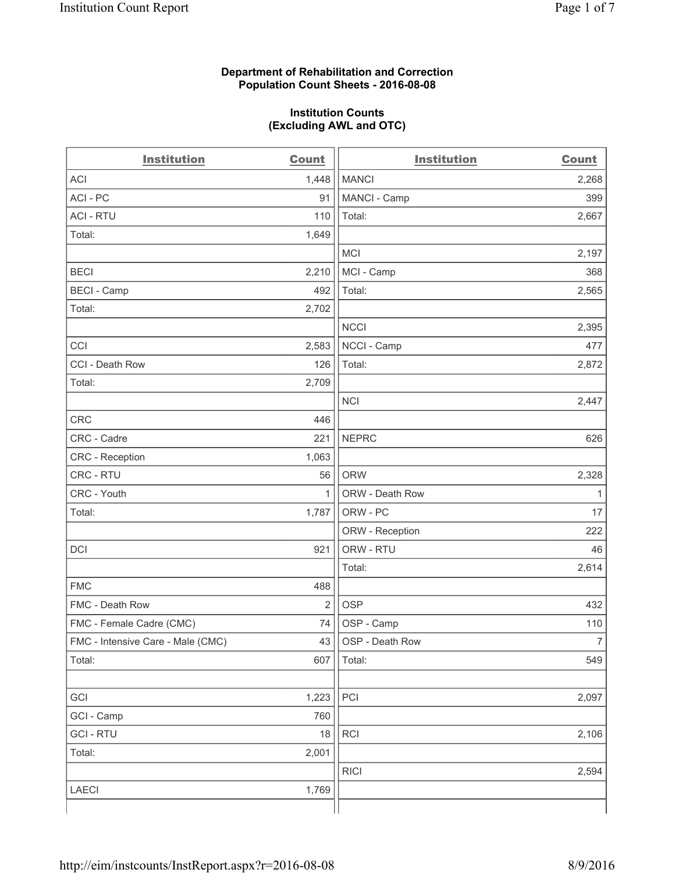#### **Department of Rehabilitation and Correction Population Count Sheets - 2016-08-08**

#### **Institution Counts (Excluding AWL and OTC)**

| <b>Institution</b>                | <b>Count</b>   | <b>Institution</b> | <b>Count</b>   |
|-----------------------------------|----------------|--------------------|----------------|
| <b>ACI</b>                        | 1,448          | <b>MANCI</b>       | 2,268          |
| ACI-PC                            | 91             | MANCI - Camp       | 399            |
| <b>ACI - RTU</b>                  | 110            | Total:             | 2,667          |
| Total:                            | 1,649          |                    |                |
|                                   |                | <b>MCI</b>         | 2,197          |
| <b>BECI</b>                       | 2,210          | MCI - Camp         | 368            |
| <b>BECI - Camp</b>                | 492            | Total:             | 2,565          |
| Total:                            | 2,702          |                    |                |
|                                   |                | <b>NCCI</b>        | 2,395          |
| CCI                               | 2,583          | NCCI - Camp        | 477            |
| CCI - Death Row                   | 126            | Total:             | 2,872          |
| Total:                            | 2,709          |                    |                |
|                                   |                | <b>NCI</b>         | 2,447          |
| <b>CRC</b>                        | 446            |                    |                |
| CRC - Cadre                       | 221            | <b>NEPRC</b>       | 626            |
| CRC - Reception                   | 1,063          |                    |                |
| CRC - RTU                         | 56             | <b>ORW</b>         | 2,328          |
| CRC - Youth                       | 1              | ORW - Death Row    | $\mathbf{1}$   |
| Total:                            | 1,787          | ORW - PC           | 17             |
|                                   |                | ORW - Reception    | 222            |
| DCI                               | 921            | ORW - RTU          | 46             |
|                                   |                | Total:             | 2,614          |
| <b>FMC</b>                        | 488            |                    |                |
| FMC - Death Row                   | $\overline{2}$ | <b>OSP</b>         | 432            |
| FMC - Female Cadre (CMC)          | 74             | OSP - Camp         | 110            |
| FMC - Intensive Care - Male (CMC) | 43             | OSP - Death Row    | $\overline{7}$ |
| Total:                            | 607            | Total:             | 549            |
|                                   |                |                    |                |
| GCI                               | 1,223          | PCI                | 2,097          |
| GCI - Camp                        | 760            |                    |                |
| <b>GCI-RTU</b>                    | $18$           | RCI                | 2,106          |
| Total:                            | 2,001          |                    |                |
|                                   |                | <b>RICI</b>        | 2,594          |
| <b>LAECI</b>                      | 1,769          |                    |                |
|                                   |                |                    |                |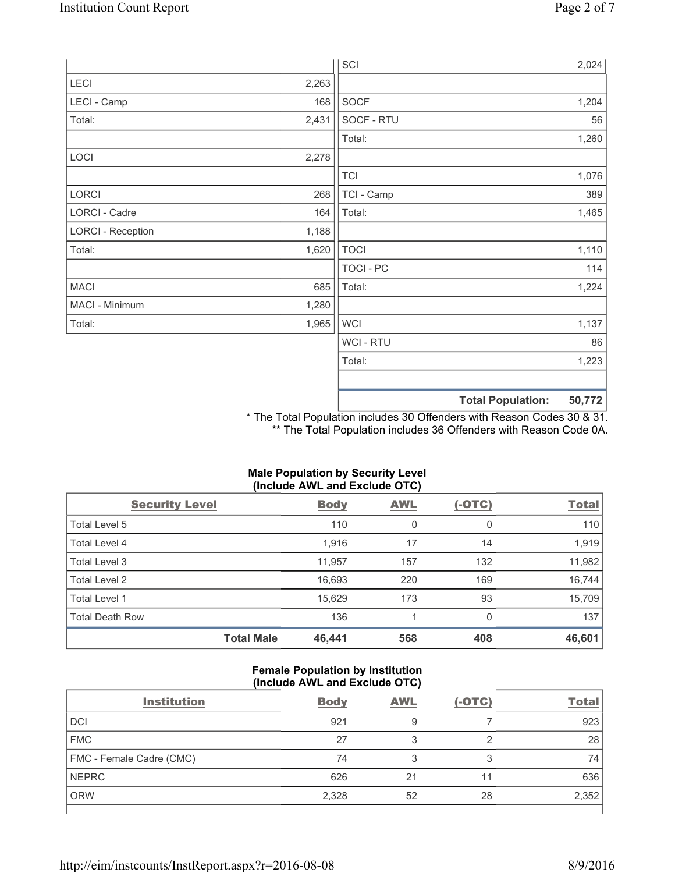|                          |       | SCI            |                          | 2,024  |
|--------------------------|-------|----------------|--------------------------|--------|
| LECI                     | 2,263 |                |                          |        |
| LECI - Camp              | 168   | SOCF           |                          | 1,204  |
| Total:                   | 2,431 | SOCF - RTU     |                          | 56     |
|                          |       | Total:         |                          | 1,260  |
| LOCI                     | 2,278 |                |                          |        |
|                          |       | <b>TCI</b>     |                          | 1,076  |
| LORCI                    | 268   | TCI - Camp     |                          | 389    |
| LORCI - Cadre            | 164   | Total:         |                          | 1,465  |
| <b>LORCI - Reception</b> | 1,188 |                |                          |        |
| Total:                   | 1,620 | <b>TOCI</b>    |                          | 1,110  |
|                          |       | TOCI - PC      |                          | 114    |
| <b>MACI</b>              | 685   | Total:         |                          | 1,224  |
| MACI - Minimum           | 1,280 |                |                          |        |
| Total:                   | 1,965 | <b>WCI</b>     |                          | 1,137  |
|                          |       | <b>WCI-RTU</b> |                          | 86     |
|                          |       | Total:         |                          | 1,223  |
|                          |       |                |                          |        |
|                          |       |                | <b>Total Population:</b> | 50,772 |

\* The Total Population includes 30 Offenders with Reason Codes 30 & 31. \*\* The Total Population includes 36 Offenders with Reason Code 0A.

| (Include AWL and Exclude OTC) |                   |             |            |               |              |  |  |
|-------------------------------|-------------------|-------------|------------|---------------|--------------|--|--|
| <b>Security Level</b>         |                   | <b>Body</b> | <b>AWL</b> | <u>(-OTC)</u> | <b>Total</b> |  |  |
| Total Level 5                 |                   | 110         | 0          | 0             | 110          |  |  |
| Total Level 4                 |                   | 1,916       | 17         | 14            | 1,919        |  |  |
| Total Level 3                 |                   | 11,957      | 157        | 132           | 11,982       |  |  |
| <b>Total Level 2</b>          |                   | 16,693      | 220        | 169           | 16,744       |  |  |
| Total Level 1                 |                   | 15,629      | 173        | 93            | 15,709       |  |  |
| <b>Total Death Row</b>        |                   | 136         |            | 0             | 137          |  |  |
|                               | <b>Total Male</b> | 46,441      | 568        | 408           | 46,601       |  |  |

# **Male Population by Security Level**

## **Female Population by Institution (Include AWL and Exclude OTC)**

| <b>Institution</b>       | <b>Body</b> | <b>AWL</b> | $(-OTC)$ | <b>Total</b> |
|--------------------------|-------------|------------|----------|--------------|
| <b>DCI</b>               | 921         | 9          |          | 923          |
| <b>FMC</b>               | 27          |            | ◠        | 28           |
| FMC - Female Cadre (CMC) | 74          |            | 3        | 74           |
| <b>NEPRC</b>             | 626         | 21         |          | 636          |
| <b>ORW</b>               | 2,328       | 52         | 28       | 2,352        |
|                          |             |            |          |              |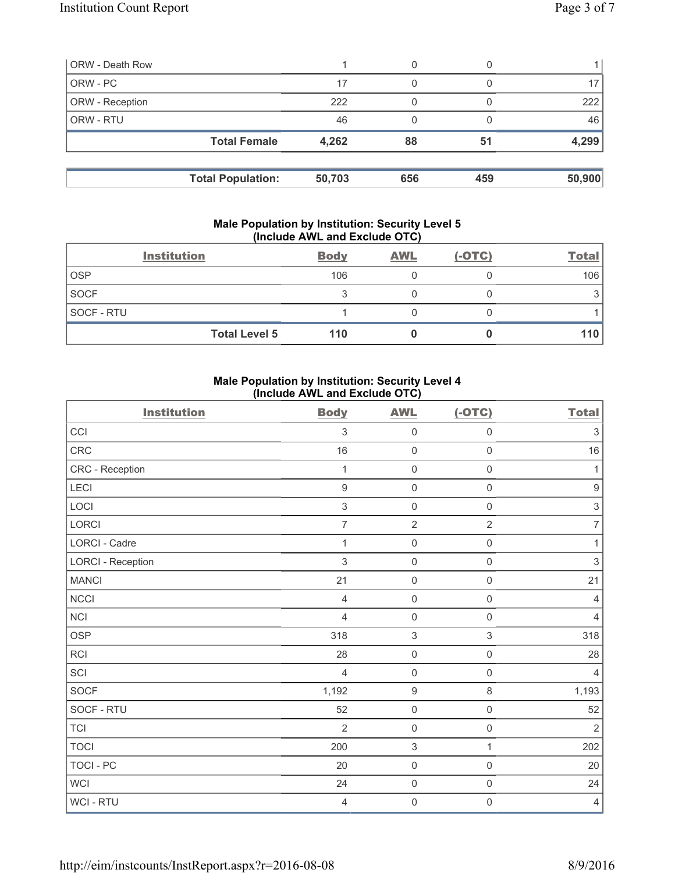| <b>ORW - Death Row</b> |                          |        | 0   |     |        |
|------------------------|--------------------------|--------|-----|-----|--------|
| ORW - PC               |                          | 17     | 0   |     |        |
| ORW - Reception        |                          | 222    |     |     | 222    |
| ORW - RTU              |                          | 46     |     |     | 46     |
|                        | <b>Total Female</b>      | 4,262  | 88  | 51  | 4,299  |
|                        | <b>Total Population:</b> | 50,703 | 656 | 459 | 50,900 |

#### **Male Population by Institution: Security Level 5 (Include AWL and Exclude OTC)**

|                   | <b>Institution</b>   | <b>Body</b> | <b>AWL</b> | $(-OTC)$ | <b>Total</b> |
|-------------------|----------------------|-------------|------------|----------|--------------|
| <b>OSP</b>        |                      | 106         |            |          | 106          |
| <b>SOCF</b>       |                      | っ           |            |          |              |
| <b>SOCF - RTU</b> |                      |             |            |          |              |
|                   | <b>Total Level 5</b> | 110         |            |          | 110          |

## **Male Population by Institution: Security Level 4 (Include AWL and Exclude OTC)**

| <b>Institution</b>       | <b>Body</b>      | <b>AWL</b>                | $(-OTC)$            | <b>Total</b>              |
|--------------------------|------------------|---------------------------|---------------------|---------------------------|
| CCI                      | $\mathfrak{Z}$   | $\mathsf{O}\xspace$       | $\mathsf 0$         | $\ensuremath{\mathsf{3}}$ |
| CRC                      | 16               | $\mathsf{O}\xspace$       | $\mathsf 0$         | 16                        |
| CRC - Reception          | 1                | $\mathsf{O}\xspace$       | $\mathsf{O}\xspace$ | 1                         |
| LECI                     | $\boldsymbol{9}$ | $\mathsf 0$               | $\mathsf{O}\xspace$ | $\boldsymbol{9}$          |
| LOCI                     | $\mathsf 3$      | $\mathbf 0$               | $\mathsf 0$         | $\ensuremath{\mathsf{3}}$ |
| <b>LORCI</b>             | $\overline{7}$   | $\overline{2}$            | $\overline{2}$      | $\overline{7}$            |
| <b>LORCI - Cadre</b>     | $\mathbf{1}$     | $\mathsf{O}\xspace$       | $\mathsf{O}\xspace$ | $\mathbf{1}$              |
| <b>LORCI - Reception</b> | 3                | $\mathsf{O}\xspace$       | $\mathsf 0$         | $\sqrt{3}$                |
| <b>MANCI</b>             | 21               | $\mathsf 0$               | $\mathsf{O}\xspace$ | 21                        |
| NCCI                     | $\overline{4}$   | $\mathsf 0$               | $\mathsf{O}\xspace$ | $\overline{4}$            |
| NCI                      | $\overline{4}$   | $\mathsf{O}\xspace$       | $\mathsf{O}\xspace$ | 4                         |
| <b>OSP</b>               | 318              | $\,$ 3 $\,$               | $\mathfrak{S}$      | 318                       |
| RCI                      | 28               | $\mathsf{O}\xspace$       | $\mathsf{O}\xspace$ | 28                        |
| SCI                      | $\overline{4}$   | $\mathbf 0$               | $\mathsf{O}\xspace$ | $\overline{4}$            |
| SOCF                     | 1,192            | $\boldsymbol{9}$          | $\,8\,$             | 1,193                     |
| SOCF - RTU               | 52               | $\mathsf{O}\xspace$       | $\mathsf{O}\xspace$ | 52                        |
| <b>TCI</b>               | $\overline{2}$   | $\mathsf{O}\xspace$       | $\mathsf{O}\xspace$ | $\overline{2}$            |
| <b>TOCI</b>              | 200              | $\ensuremath{\mathsf{3}}$ | $\mathbf{1}$        | 202                       |
| <b>TOCI - PC</b>         | 20               | $\mathsf{O}\xspace$       | $\mathsf 0$         | 20                        |
| <b>WCI</b>               | 24               | $\mathsf{O}\xspace$       | $\mathsf{O}\xspace$ | 24                        |
| WCI - RTU                | 4                | $\mathbf 0$               | $\mathsf{O}\xspace$ | 4                         |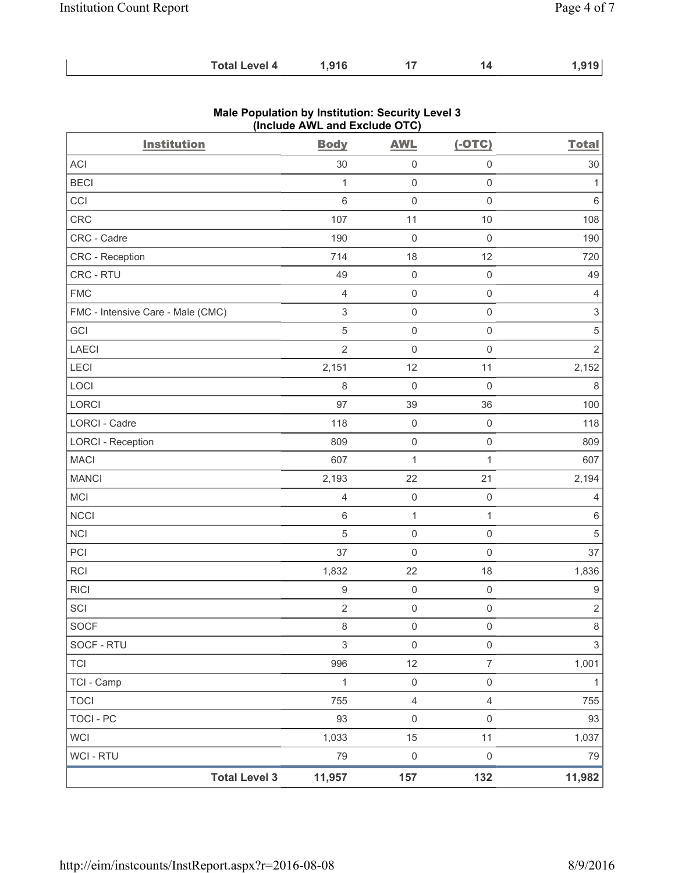| <b>Total Level 4</b><br>1,916 | 1,919 |
|-------------------------------|-------|
|-------------------------------|-------|

| <b>Institution</b>                | <b>Body</b>               | <b>AWL</b>              | $(-OTC)$            | <b>Total</b>              |
|-----------------------------------|---------------------------|-------------------------|---------------------|---------------------------|
| ACI                               | 30                        | 0                       | $\mathsf 0$         | 30                        |
| <b>BECI</b>                       | 1                         | $\mathsf{O}\xspace$     | $\mathsf 0$         | $\mathbf{1}$              |
| CCI                               | 6                         | $\mathsf{O}\xspace$     | $\mathsf{O}\xspace$ | 6                         |
| CRC                               | 107                       | 11                      | $10$                | 108                       |
| CRC - Cadre                       | 190                       | $\mathsf{O}\xspace$     | $\mathbf 0$         | 190                       |
| <b>CRC</b> - Reception            | 714                       | 18                      | 12                  | 720                       |
| CRC - RTU                         | 49                        | $\mathbf 0$             | $\mathsf 0$         | 49                        |
| <b>FMC</b>                        | $\overline{4}$            | $\mathsf{O}\xspace$     | $\mathsf 0$         | $\overline{4}$            |
| FMC - Intensive Care - Male (CMC) | $\ensuremath{\mathsf{3}}$ | $\mathsf{O}\xspace$     | $\mathsf 0$         | $\ensuremath{\mathsf{3}}$ |
| GCI                               | $\overline{5}$            | $\mathsf{O}\xspace$     | $\mathbf 0$         | $\,$ 5 $\,$               |
| LAECI                             | $\overline{2}$            | $\mathsf 0$             | $\mathbf 0$         | $\overline{2}$            |
| LECI                              | 2,151                     | 12                      | 11                  | 2,152                     |
| LOCI                              | 8                         | $\mathsf{O}\xspace$     | $\mathbf 0$         | 8                         |
| LORCI                             | 97                        | 39                      | 36                  | 100                       |
| <b>LORCI - Cadre</b>              | 118                       | $\mathsf{O}\xspace$     | $\mathsf 0$         | 118                       |
| <b>LORCI - Reception</b>          | 809                       | $\mathsf{O}\xspace$     | $\mathsf 0$         | 809                       |
| <b>MACI</b>                       | 607                       | $\mathbf{1}$            | $\mathbf{1}$        | 607                       |
| <b>MANCI</b>                      | 2,193                     | 22                      | 21                  | 2,194                     |
| MCI                               | $\overline{4}$            | $\mathsf{O}\xspace$     | $\mathbf 0$         | 4                         |
| <b>NCCI</b>                       | $\,6$                     | $\mathbf{1}$            | $\mathbf{1}$        | 6                         |
| <b>NCI</b>                        | 5                         | $\mathsf{O}\xspace$     | $\mathsf 0$         | $\sqrt{5}$                |
| PCI                               | 37                        | $\mathsf{O}\xspace$     | $\mathbf 0$         | 37                        |
| RCI                               | 1,832                     | 22                      | 18                  | 1,836                     |
| <b>RICI</b>                       | $\boldsymbol{9}$          | $\mathsf{O}\xspace$     | $\mathsf 0$         | $\boldsymbol{9}$          |
| SCI                               | $\sqrt{2}$                | $\mathsf{O}\xspace$     | $\mathsf 0$         | $\overline{2}$            |
| <b>SOCF</b>                       | 8                         | 0                       | $\pmb{0}$           | 8                         |
| SOCF - RTU                        | $\mathfrak{S}$            | $\mathsf{O}\xspace$     | $\mathsf{O}\xspace$ | $\mathfrak{S}$            |
| <b>TCI</b>                        | 996                       | 12                      | $\overline{7}$      | 1,001                     |
| TCI - Camp                        | $\mathbf{1}$              | $\mathsf 0$             | $\mathsf{O}\xspace$ | $\mathbf{1}$              |
| <b>TOCI</b>                       | 755                       | $\overline{\mathbf{4}}$ | $\overline{4}$      | 755                       |
| <b>TOCI - PC</b>                  | 93                        | $\mathsf 0$             | $\mathsf 0$         | 93                        |
| <b>WCI</b>                        | 1,033                     | 15                      | 11                  | 1,037                     |
| WCI - RTU                         | 79                        | $\mathsf 0$             | $\mathsf 0$         | 79                        |
| <b>Total Level 3</b>              | 11,957                    | 157                     | 132                 | 11,982                    |

## **Male Population by Institution: Security Level 3 (Include AWL and Exclude OTC)**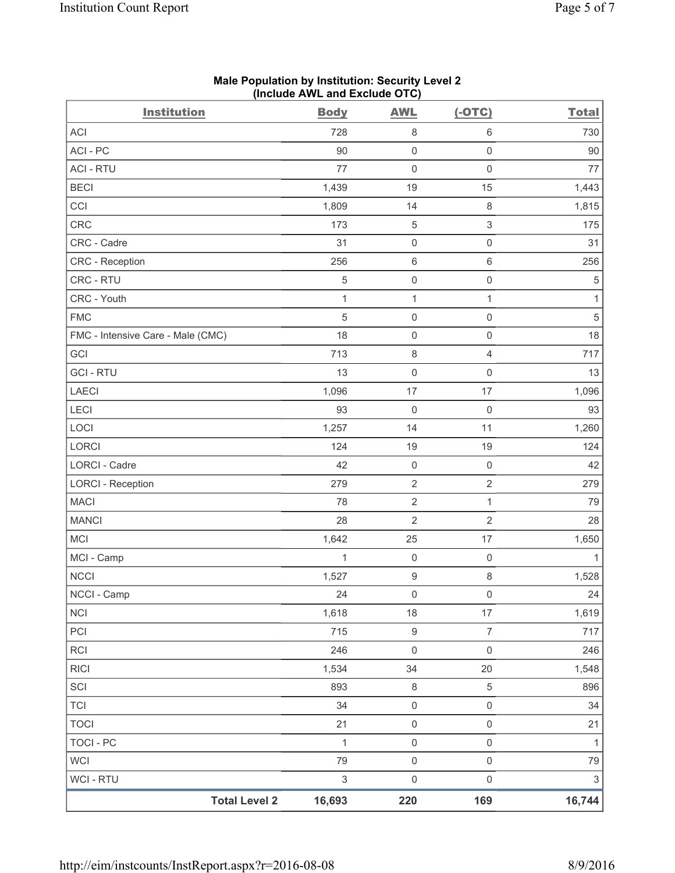| <b>Institution</b>                | <b>Body</b>  | <b>AWL</b>          | $(-OTC)$                  | <b>Total</b>              |
|-----------------------------------|--------------|---------------------|---------------------------|---------------------------|
| <b>ACI</b>                        | 728          | 8                   | $\,6\,$                   | 730                       |
| ACI - PC                          | 90           | $\mathsf 0$         | $\mathbf 0$               | 90                        |
| <b>ACI - RTU</b>                  | 77           | 0                   | $\mathsf 0$               | 77                        |
| <b>BECI</b>                       | 1,439        | 19                  | 15                        | 1,443                     |
| CCI                               | 1,809        | 14                  | $\,8\,$                   | 1,815                     |
| <b>CRC</b>                        | 173          | 5                   | $\ensuremath{\mathsf{3}}$ | 175                       |
| CRC - Cadre                       | 31           | $\mathsf{O}\xspace$ | $\mathsf 0$               | 31                        |
| <b>CRC</b> - Reception            | 256          | 6                   | $6\,$                     | 256                       |
| CRC - RTU                         | $\,$ 5 $\,$  | $\mathsf 0$         | $\mathsf 0$               | 5                         |
| CRC - Youth                       | $\mathbf{1}$ | $\mathbf 1$         | $\mathbf{1}$              | 1                         |
| <b>FMC</b>                        | $\sqrt{5}$   | $\mathsf{O}\xspace$ | $\mathsf 0$               | $\sqrt{5}$                |
| FMC - Intensive Care - Male (CMC) | 18           | $\mathsf{O}\xspace$ | $\mathsf 0$               | 18                        |
| GCI                               | 713          | 8                   | $\overline{4}$            | 717                       |
| <b>GCI-RTU</b>                    | 13           | $\boldsymbol{0}$    | $\mathsf 0$               | 13                        |
| <b>LAECI</b>                      | 1,096        | 17                  | 17                        | 1,096                     |
| LECI                              | 93           | 0                   | $\mathsf 0$               | 93                        |
| LOCI                              | 1,257        | 14                  | 11                        | 1,260                     |
| LORCI                             | 124          | 19                  | 19                        | 124                       |
| LORCI - Cadre                     | 42           | $\mathsf{O}\xspace$ | $\mathsf 0$               | 42                        |
| <b>LORCI - Reception</b>          | 279          | $\sqrt{2}$          | $\overline{2}$            | 279                       |
| <b>MACI</b>                       | 78           | $\sqrt{2}$          | $\mathbf{1}$              | 79                        |
| <b>MANCI</b>                      | 28           | $\sqrt{2}$          | $\sqrt{2}$                | 28                        |
| <b>MCI</b>                        | 1,642        | 25                  | 17                        | 1,650                     |
| MCI - Camp                        | 1            | $\mathsf{O}\xspace$ | $\mathsf 0$               | 1                         |
| NCCI                              | 1,527        | $\boldsymbol{9}$    | $\,8\,$                   | 1,528                     |
| NCCI - Camp                       | 24           | $\mathsf{O}\xspace$ | $\mathsf{O}\xspace$       | 24                        |
| <b>NCI</b>                        | 1,618        | $18$                | 17                        | 1,619                     |
| PCI                               | 715          | $\boldsymbol{9}$    | $\boldsymbol{7}$          | 717                       |
| RCI                               | 246          | $\mathsf{O}\xspace$ | $\mathsf 0$               | 246                       |
| <b>RICI</b>                       | 1,534        | 34                  | 20                        | 1,548                     |
| SCI                               | 893          | $\,8\,$             | $\,$ 5 $\,$               | 896                       |
| <b>TCI</b>                        | 34           | $\mathsf{O}\xspace$ | $\mathsf 0$               | 34                        |
| <b>TOCI</b>                       | 21           | $\mathsf{O}\xspace$ | $\mathsf 0$               | 21                        |
| <b>TOCI - PC</b>                  | $\mathbf{1}$ | $\mathsf{O}\xspace$ | $\mathsf 0$               | $\mathbf{1}$              |
| <b>WCI</b>                        | 79           | $\mathsf{O}\xspace$ | $\mathsf 0$               | 79                        |
| <b>WCI-RTU</b>                    | $\sqrt{3}$   | $\mathsf{O}\xspace$ | $\mathsf{O}\xspace$       | $\ensuremath{\mathsf{3}}$ |
| <b>Total Level 2</b>              | 16,693       | 220                 | 169                       | 16,744                    |

### **Male Population by Institution: Security Level 2 (Include AWL and Exclude OTC)**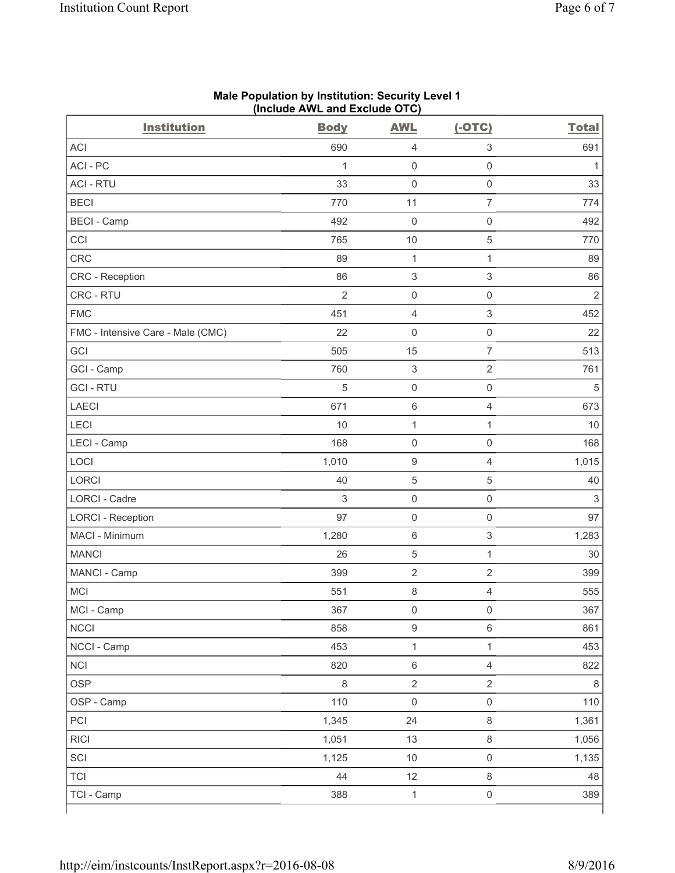| <b>Institution</b>                | <b>Body</b>    | <b>AWL</b>                | $(-OTC)$                  | <b>Total</b>              |
|-----------------------------------|----------------|---------------------------|---------------------------|---------------------------|
| <b>ACI</b>                        | 690            | $\overline{4}$            | $\ensuremath{\mathsf{3}}$ | 691                       |
| ACI - PC                          | 1              | $\mathbf 0$               | $\mathsf{O}\xspace$       | $\mathbf{1}$              |
| <b>ACI - RTU</b>                  | 33             | $\mathsf 0$               | $\mathsf 0$               | 33                        |
| <b>BECI</b>                       | 770            | 11                        | $\overline{7}$            | 774                       |
| <b>BECI - Camp</b>                | 492            | $\mathsf{O}\xspace$       | $\mathsf 0$               | 492                       |
| CCI                               | 765            | 10                        | $\,$ 5 $\,$               | 770                       |
| <b>CRC</b>                        | 89             | $\mathbf{1}$              | $\mathbf{1}$              | 89                        |
| CRC - Reception                   | 86             | $\,$ 3 $\,$               | $\ensuremath{\mathsf{3}}$ | 86                        |
| CRC - RTU                         | $\overline{2}$ | $\mathsf{O}\xspace$       | $\mathsf{O}\xspace$       | $\overline{2}$            |
| <b>FMC</b>                        | 451            | $\overline{4}$            | $\ensuremath{\mathsf{3}}$ | 452                       |
| FMC - Intensive Care - Male (CMC) | 22             | $\mathsf{O}\xspace$       | $\mathsf 0$               | 22                        |
| GCI                               | 505            | 15                        | $\overline{7}$            | 513                       |
| GCI - Camp                        | 760            | $\ensuremath{\mathsf{3}}$ | $\sqrt{2}$                | 761                       |
| <b>GCI-RTU</b>                    | 5              | $\mathsf{O}\xspace$       | $\mathsf{O}\xspace$       | 5                         |
| <b>LAECI</b>                      | 671            | $\,6\,$                   | $\overline{4}$            | 673                       |
| LECI                              | 10             | $\mathbf{1}$              | 1                         | 10                        |
| LECI - Camp                       | 168            | $\mathsf 0$               | $\mathsf 0$               | 168                       |
| LOCI                              | 1,010          | $\boldsymbol{9}$          | $\overline{4}$            | 1,015                     |
| <b>LORCI</b>                      | 40             | 5                         | 5                         | 40                        |
| <b>LORCI - Cadre</b>              | $\sqrt{3}$     | $\mathsf 0$               | $\mathsf{O}\xspace$       | $\ensuremath{\mathsf{3}}$ |
| <b>LORCI - Reception</b>          | 97             | $\mathsf{O}\xspace$       | $\mathbf 0$               | 97                        |
| MACI - Minimum                    | 1,280          | $\,6\,$                   | $\ensuremath{\mathsf{3}}$ | 1,283                     |
| <b>MANCI</b>                      | 26             | $\mathbf 5$               | $\mathbf{1}$              | 30                        |
| MANCI - Camp                      | 399            | $\sqrt{2}$                | $\sqrt{2}$                | 399                       |
| MCI                               | 551            | $\,8\,$                   | $\overline{4}$            | 555                       |
| MCI - Camp                        | 367            | $\mathsf{O}\xspace$       | $\mathsf{O}\xspace$       | 367                       |
| <b>NCCI</b>                       | 858            | $\boldsymbol{9}$          | $\,6\,$                   | 861                       |
| NCCI - Camp                       | 453            | $\mathbf{1}$              | $\mathbf{1}$              | 453                       |
| <b>NCI</b>                        | 820            | $\,6\,$                   | $\overline{4}$            | 822                       |
| <b>OSP</b>                        | $\,8\,$        | $\mathbf 2$               | $\overline{2}$            | 8                         |
| OSP - Camp                        | 110            | $\mathsf{O}\xspace$       | $\mathsf{O}\xspace$       | 110                       |
| PCI                               | 1,345          | 24                        | $\,8\,$                   | 1,361                     |
| <b>RICI</b>                       | 1,051          | 13                        | $\,8\,$                   | 1,056                     |
| SCI                               | 1,125          | $10$                      | $\mathsf{O}\xspace$       | 1,135                     |
| TCI                               | 44             | 12                        | $\,8\,$                   | 48                        |
| TCI - Camp                        | 388            | $\mathbf{1}$              | $\mathsf{O}\xspace$       | 389                       |

#### **Male Population by Institution: Security Level 1 (Include AWL and Exclude OTC)**